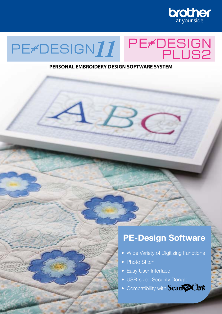

# PE<del>/</del>DESIGN<br>PLUS2 PE/DESIGN11

#### **PERSONAL EMBROIDERY DESIGN SOFTWARE SYSTEM**

## **PE-Design Software**

- Wide Variety of Digitizing Functions
- Photo Stitch
- Easy User Interface
- USB-sized Security Dongle
- Compatibility with **Scant SCutt**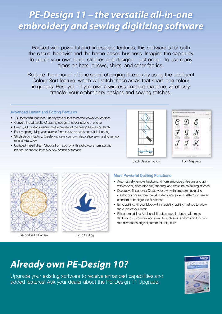## *PE-Design 11 – the versatile all-in-one embroidery and sewing digitizing software*

Packed with powerful and timesaving features, this software is for both the casual hobbyist and the home-based business. Imagine the capability to create your own fonts, stitches and designs – just once – to use many times on hats, pillows, shirts, and other fabrics.

Reduce the amount of time spent changing threads by using the Intelligent Colour Sort feature, which will stitch those areas that share one colour in groups. Best yet – if you own a wireless enabled machine, wirelessly transfer your embroidery designs and sewing stitches.

#### **Advanced Layout and Editing Features**

- 130 fonts with font filter: Filter by type of font to narrow down font choices
- Convert thread palette of existing design to colour palette of choice
- Over 1,000 built-in designs: See a preview of the design before you stitch
- Font mapping: Map your favorite fonts to use as easily as built-in lettering
- Stitch Design Factory: Create and save your own decorative sewing stitches, up to 100 mm wide\*
- Updated thread chart: Choose from additional thread colours from existing brands, or choose from two new brands of threads





Decorative Fill Pattern



Echo Quilting

#### **More Powerful Quilting Functions**

- Automatically remove background from embroidery designs and quilt with echo fill, decorative fills, stippling, and cross-hatch quilting stitches
- Decorative fill patterns: Create your own with programmable stitch creator, or choose from the 54 built-in decorative fill patterns to use as standard or background fill stitches
- Echo quilting: Fill your block with a radiating quilting method to follow the curve of your motif
- Fill pattern editing: Additional fill patterns are included, with more flexibility to customize decorative fills such as a random shift function that distorts the original pattern for unique fills

# *Already own PE-Design 10?*

Upgrade your existing software to receive enhanced capabilities and added features! Ask your dealer about the PE-Design 11 Upgrade.

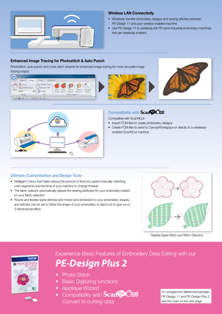

#### **Wireless LAN Connectivity**

- Wirelessly transfer embroidery designs and sewing stitches between PE-Design 11 and your wireless enabled machine
- Use PE-Design 11 to wirelessly link PR semi-industrial embroidery machines that are wirelessly enabled

#### **Enhanced Image Tracing for Photostitch & Auto Punch**

PhotoStitch, auto punch and cross stitch wizards for enhanced image tracing for more accurate image tracing output.

|                   | L. Kelata Hight  |                                                        |                        |        |  |
|-------------------|------------------|--------------------------------------------------------|------------------------|--------|--|
|                   | Citatate (att)   |                                                        | $\mathbb{R}^n$         |        |  |
| Open<br>60<br>ini | <b>IT Delate</b> | Auto Orvin<br>Fundy State - State 1 - State 2 - Center | Paulo<br><b>FFICES</b> | Design |  |
| <b>HALLER</b>     | A set            |                                                        | SEELK (Walant)         |        |  |





### **Compatibility with Scant SCutt**

Compatible with ScanNCut:

- Import FCM files to create embroidery designs
- Create FCM files to send to CanvasWorkspace or directly to a wirelesslyenabled ScanNCut machine

#### **Ultimate Customisation and Design Tools**

- Intelligent Colour Sort helps reduce the amount of time you spend manually matching color segments and the time at your machine to change threads
- The fabric selector automatically adjusts the sewing attributes for your embroidery based on your fabric selection
- Round and flexible spiral stitches add motion and dimension to your embroidery shapes, and stitches can be set to follow the shape of your embroidery or stand out to give you a 3-dimensional effect



Flexible Spiral Stitch and Stitch Direction



Scan Schill



- Photo Stitch
- Basic Digitizing functions
- Applique Wizard
- Compatibility with **Scant SCut** Convert to cutting data

To compare the differences between PE-Design 11 and PE-Design Plus 2, see the chart on the next page.